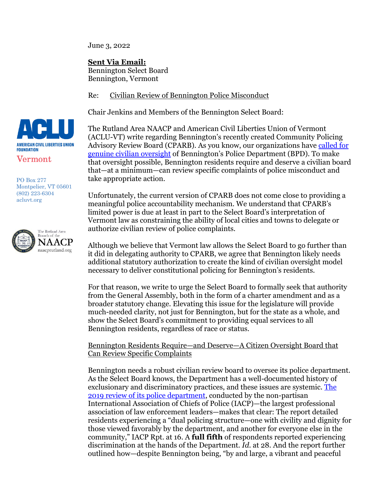June 3, 2022

**Sent Via Email:**

Bennington Select Board Bennington, Vermont

Re: Civilian Review of Bennington Police Misconduct

Chair Jenkins and Members of the Bennington Select Board:

The Rutland Area NAACP and American Civil Liberties Union of Vermont (ACLU-VT) write regarding Bennington's recently created Community Policing Advisory Review Board (CPARB). As you know, our organizations have [called for](https://www.acluvt.org/en/news/aclu-and-naacp-statements-response-report-bennington-police-practices)  [genuine civilian oversight](https://www.acluvt.org/en/news/aclu-and-naacp-statements-response-report-bennington-police-practices) of Bennington's Police Department (BPD). To make that oversight possible, Bennington residents require and deserve a civilian board that—at a minimum—can review specific complaints of police misconduct and take appropriate action.

Unfortunately, the current version of CPARB does not come close to providing a meaningful police accountability mechanism. We understand that CPARB's limited power is due at least in part to the Select Board's interpretation of Vermont law as constraining the ability of local cities and towns to delegate or authorize civilian review of police complaints.

Although we believe that Vermont law allows the Select Board to go further than it did in delegating authority to CPARB, we agree that Bennington likely needs additional statutory authorization to create the kind of civilian oversight model necessary to deliver constitutional policing for Bennington's residents.

For that reason, we write to urge the Select Board to formally seek that authority from the General Assembly, both in the form of a charter amendment and as a broader statutory change. Elevating this issue for the legislature will provide much-needed clarity, not just for Bennington, but for the state as a whole, and show the Select Board's commitment to providing equal services to all Bennington residents, regardless of race or status.

Bennington Residents Require—and Deserve—A Citizen Oversight Board that Can Review Specific Complaints

Bennington needs a robust civilian review board to oversee its police department. As the Select Board knows, the Department has a well-documented history of exclusionary and discriminatory practices, and these issues are systemic. [The](https://benningtonvt.org/wp-content/uploads/2020/04/BPD_Policy_and_Procedures_Final_Report.pdf)  [2019 review of its police department,](https://benningtonvt.org/wp-content/uploads/2020/04/BPD_Policy_and_Procedures_Final_Report.pdf) conducted by the non-partisan International Association of Chiefs of Police (IACP)—the largest professional association of law enforcement leaders—makes that clear: The report detailed residents experiencing a "dual policing structure—one with civility and dignity for those viewed favorably by the department, and another for everyone else in the community," IACP Rpt. at 16. A **full fifth** of respondents reported experiencing discrimination at the hands of the Department. *Id.* at 28. And the report further outlined how—despite Bennington being, "by and large, a vibrant and peaceful



PO Box 277 Montpelier, VT 05601 (802) 223-6304 acluvt.org

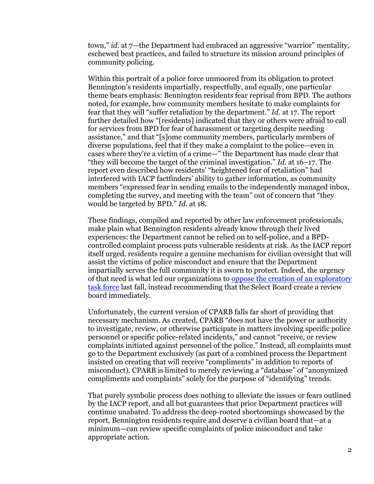town," *id.* at 7—the Department had embraced an aggressive "warrior" mentality, eschewed best practices, and failed to structure its mission around principles of community policing.

Within this portrait of a police force unmoored from its obligation to protect Bennington's residents impartially, respectfully, and equally, one particular theme bears emphasis: Bennington residents fear reprisal from BPD. The authors noted, for example, how community members hesitate to make complaints for fear that they will "suffer retaliation by the department." *Id*. at 17. The report further detailed how "[residents] indicated that they or others were afraid to call for services from BPD for fear of harassment or targeting despite needing assistance," and that "[s]ome community members, particularly members of diverse populations, feel that if they make a complaint to the police—even in cases where they're a victim of a crime—" the Department has made clear that "they will become the target of the criminal investigation." *Id.* at 16–17. The report even described how residents' "heightened fear of retaliation" had interfered with IACP factfinders' ability to gather information, as community members "expressed fear in sending emails to the independently managed inbox, completing the survey, and meeting with the team" out of concern that "they would be targeted by BPD." *Id.* at 18.

These findings, compiled and reported by other law enforcement professionals, make plain what Bennington residents already know through their lived experiences: the Department cannot be relied on to self-police, and a BPDcontrolled complaint process puts vulnerable residents at risk. As the IACP report itself urged, residents require a genuine mechanism for civilian oversight that will assist the victims of police misconduct and ensure that the Department impartially serves the full community it is sworn to protect. Indeed, the urgency of that need is what led our organizations to [oppose the creation of an exploratory](https://www.acluvt.org/en/news/aclu-naacp-react-benningtons-proposed-police-oversight-task-force)  [task force](https://www.acluvt.org/en/news/aclu-naacp-react-benningtons-proposed-police-oversight-task-force) last fall, instead recommending that the Select Board create a review board immediately.

Unfortunately, the current version of CPARB falls far short of providing that necessary mechanism. As created, CPARB "does not have the power or authority to investigate, review, or otherwise participate in matters involving specific police personnel or specific police-related incidents," and cannot "receive, or review complaints initiated against personnel of the police." Instead, all complaints must go to the Department exclusively (as part of a combined process the Department insisted on creating that will receive "compliments" in addition to reports of misconduct). CPARB is limited to merely reviewing a "database" of "anonymized compliments and complaints" solely for the purpose of "identifying" trends.

That purely symbolic process does nothing to alleviate the issues or fears outlined by the IACP report, and all but guarantees that prior Department practices will continue unabated. To address the deep-rooted shortcomings showcased by the report, Bennington residents require and deserve a civilian board that—at a minimum—can review specific complaints of police misconduct and take appropriate action.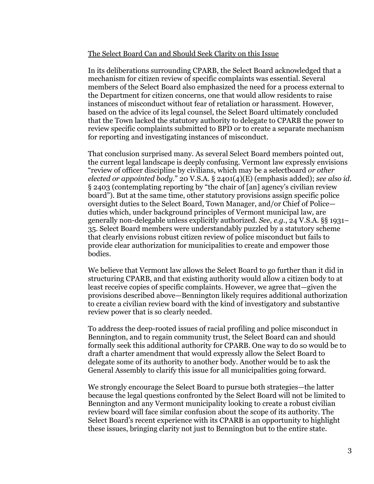## The Select Board Can and Should Seek Clarity on this Issue

In its deliberations surrounding CPARB, the Select Board acknowledged that a mechanism for citizen review of specific complaints was essential. Several members of the Select Board also emphasized the need for a process external to the Department for citizen concerns, one that would allow residents to raise instances of misconduct without fear of retaliation or harassment. However, based on the advice of its legal counsel, the Select Board ultimately concluded that the Town lacked the statutory authority to delegate to CPARB the power to review specific complaints submitted to BPD or to create a separate mechanism for reporting and investigating instances of misconduct.

That conclusion surprised many. As several Select Board members pointed out, the current legal landscape is deeply confusing. Vermont law expressly envisions "review of officer discipline by civilians, which may be a selectboard *or other elected or appointed body*." 20 V.S.A. § 2401(4)(E) (emphasis added); *see also id.* § 2403 (contemplating reporting by "the chair of [an] agency's civilian review board"). But at the same time, other statutory provisions assign specific police oversight duties to the Select Board, Town Manager, and/or Chief of Police duties which, under background principles of Vermont municipal law, are generally non-delegable unless explicitly authorized. *See, e.g.*, 24 V.S.A. §§ 1931– 35. Select Board members were understandably puzzled by a statutory scheme that clearly envisions robust citizen review of police misconduct but fails to provide clear authorization for municipalities to create and empower those bodies.

We believe that Vermont law allows the Select Board to go further than it did in structuring CPARB, and that existing authority would allow a citizen body to at least receive copies of specific complaints. However, we agree that—given the provisions described above—Bennington likely requires additional authorization to create a civilian review board with the kind of investigatory and substantive review power that is so clearly needed.

To address the deep-rooted issues of racial profiling and police misconduct in Bennington, and to regain community trust, the Select Board can and should formally seek this additional authority for CPARB. One way to do so would be to draft a charter amendment that would expressly allow the Select Board to delegate some of its authority to another body. Another would be to ask the General Assembly to clarify this issue for all municipalities going forward.

We strongly encourage the Select Board to pursue both strategies—the latter because the legal questions confronted by the Select Board will not be limited to Bennington and any Vermont municipality looking to create a robust civilian review board will face similar confusion about the scope of its authority. The Select Board's recent experience with its CPARB is an opportunity to highlight these issues, bringing clarity not just to Bennington but to the entire state.